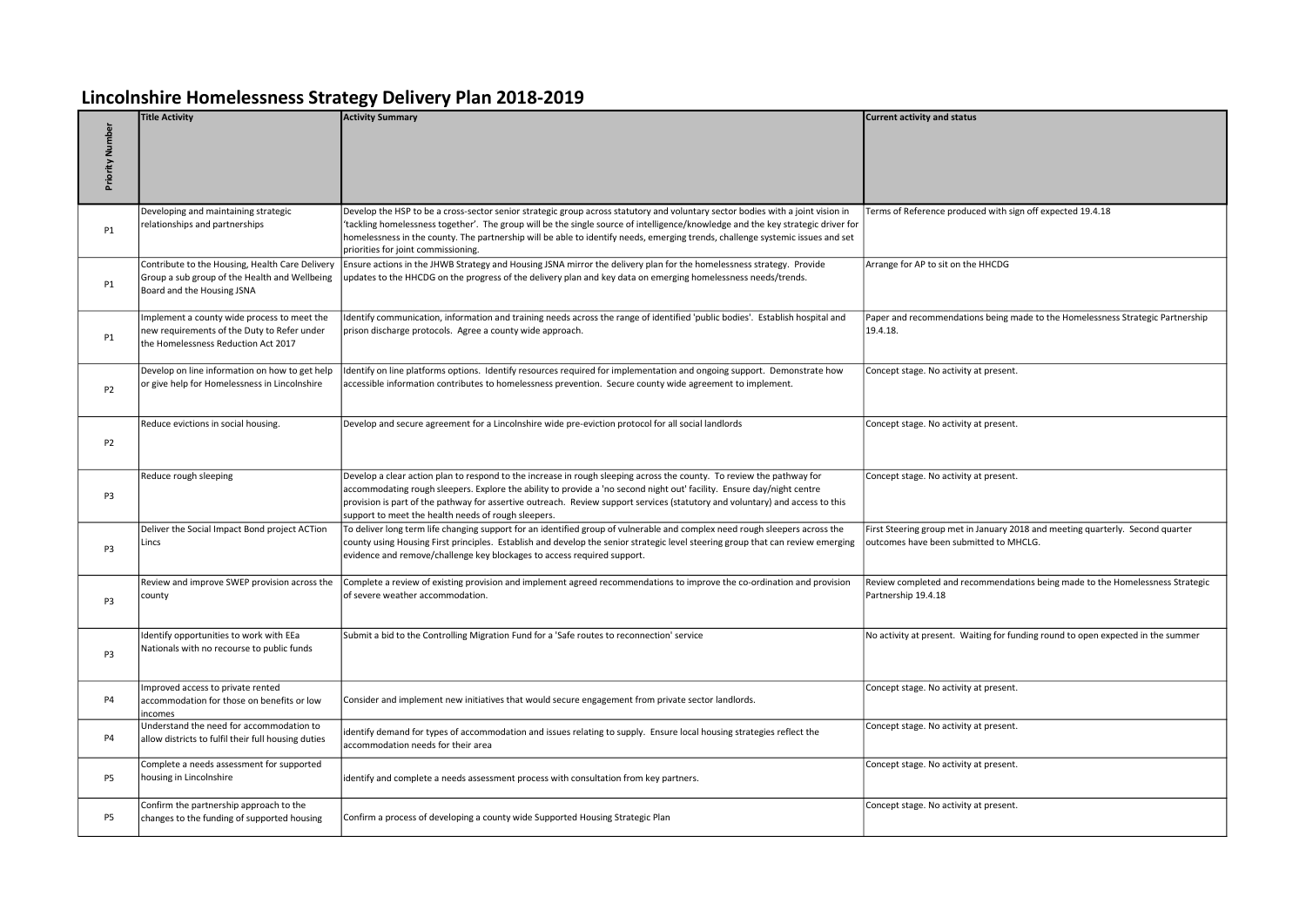## Lincolnshire Homelessness Strategy Delivery Plan 2018-2019

|                 | <b>Title Activity</b>                                                                                                             | <b>Activity Summary</b>                                                                                                                                                                                                                                                                                                                                                                                                                      | <b>Current activity and status</b>                                                                                       |
|-----------------|-----------------------------------------------------------------------------------------------------------------------------------|----------------------------------------------------------------------------------------------------------------------------------------------------------------------------------------------------------------------------------------------------------------------------------------------------------------------------------------------------------------------------------------------------------------------------------------------|--------------------------------------------------------------------------------------------------------------------------|
| Priority Number |                                                                                                                                   |                                                                                                                                                                                                                                                                                                                                                                                                                                              |                                                                                                                          |
| <b>P1</b>       | Developing and maintaining strategic<br>relationships and partnerships                                                            | Develop the HSP to be a cross-sector senior strategic group across statutory and voluntary sector bodies with a joint vision in<br>'tackling homelessness together'. The group will be the single source of intelligence/knowledge and the key strategic driver for<br>homelessness in the county. The partnership will be able to identify needs, emerging trends, challenge systemic issues and set<br>priorities for joint commissioning. | Terms of Reference produced with sign off expected 19.4.18                                                               |
| P1              | Contribute to the Housing, Health Care Delivery<br>Group a sub group of the Health and Wellbeing<br>Board and the Housing JSNA    | Ensure actions in the JHWB Strategy and Housing JSNA mirror the delivery plan for the homelessness strategy. Provide<br>updates to the HHCDG on the progress of the delivery plan and key data on emerging homelessness needs/trends.                                                                                                                                                                                                        | Arrange for AP to sit on the HHCDG                                                                                       |
| P1              | Implement a county wide process to meet the<br>new requirements of the Duty to Refer under<br>the Homelessness Reduction Act 2017 | Identify communication, information and training needs across the range of identified 'public bodies'. Establish hospital and<br>prison discharge protocols. Agree a county wide approach.                                                                                                                                                                                                                                                   | Paper and recommendations being made to the Homelessness Strategic Partnership<br>19.4.18.                               |
| P <sub>2</sub>  | Develop on line information on how to get help<br>or give help for Homelessness in Lincolnshire                                   | Identify on line platforms options. Identify resources required for implementation and ongoing support. Demonstrate how<br>accessible information contributes to homelessness prevention. Secure county wide agreement to implement.                                                                                                                                                                                                         | Concept stage. No activity at present.                                                                                   |
| P <sub>2</sub>  | Reduce evictions in social housing.                                                                                               | Develop and secure agreement for a Lincolnshire wide pre-eviction protocol for all social landlords                                                                                                                                                                                                                                                                                                                                          | Concept stage. No activity at present.                                                                                   |
| P3              | Reduce rough sleeping                                                                                                             | Develop a clear action plan to respond to the increase in rough sleeping across the county. To review the pathway for<br>accommodating rough sleepers. Explore the ability to provide a 'no second night out' facility. Ensure day/night centre<br>provision is part of the pathway for assertive outreach. Review support services (statutory and voluntary) and access to this<br>support to meet the health needs of rough sleepers.      | Concept stage. No activity at present.                                                                                   |
| P3              | Deliver the Social Impact Bond project ACTion<br>Lincs                                                                            | To deliver long term life changing support for an identified group of vulnerable and complex need rough sleepers across the<br>county using Housing First principles. Establish and develop the senior strategic level steering group that can review emerging<br>evidence and remove/challenge key blockages to access required support.                                                                                                    | First Steering group met in January 2018 and meeting quarterly. Second quarter<br>outcomes have been submitted to MHCLG. |
| P3              | Review and improve SWEP provision across the<br>county                                                                            | Complete a review of existing provision and implement agreed recommendations to improve the co-ordination and provision<br>of severe weather accommodation.                                                                                                                                                                                                                                                                                  | Review completed and recommendations being made to the Homelessness Strategic<br>Partnership 19.4.18                     |
| P3              | Identify opportunities to work with EEa<br>Nationals with no recourse to public funds                                             | Submit a bid to the Controlling Migration Fund for a 'Safe routes to reconnection' service                                                                                                                                                                                                                                                                                                                                                   | No activity at present. Waiting for funding round to open expected in the summer                                         |
| P4              | Improved access to private rented<br>accommodation for those on benefits or low<br>incomes                                        | Consider and implement new initiatives that would secure engagement from private sector landlords.                                                                                                                                                                                                                                                                                                                                           | Concept stage. No activity at present.                                                                                   |
| P4              | Understand the need for accommodation to<br>allow districts to fulfil their full housing duties                                   | identify demand for types of accommodation and issues relating to supply. Ensure local housing strategies reflect the<br>accommodation needs for their area                                                                                                                                                                                                                                                                                  | Concept stage. No activity at present.                                                                                   |
| P5              | Complete a needs assessment for supported<br>housing in Lincolnshire                                                              | identify and complete a needs assessment process with consultation from key partners.                                                                                                                                                                                                                                                                                                                                                        | Concept stage. No activity at present.                                                                                   |
| P5              | Confirm the partnership approach to the<br>changes to the funding of supported housing                                            | Confirm a process of developing a county wide Supported Housing Strategic Plan                                                                                                                                                                                                                                                                                                                                                               | Concept stage. No activity at present.                                                                                   |